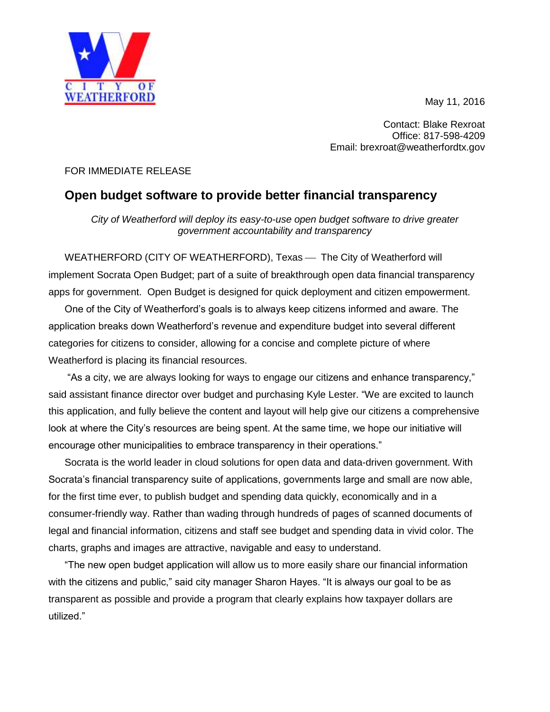May 11, 2016



Contact: Blake Rexroat Office: 817-598-4209 Email: brexroat@weatherfordtx.gov

## FOR IMMEDIATE RELEASE

## **Open budget software to provide better financial transparency**

*City of Weatherford will deploy its easy-to-use open budget software to drive greater government accountability and transparency*

WEATHERFORD (CITY OF WEATHERFORD), Texas - The City of Weatherford will implement Socrata Open Budget; part of a suite of breakthrough open data financial transparency apps for government. Open Budget is designed for quick deployment and citizen empowerment.

One of the City of Weatherford's goals is to always keep citizens informed and aware. The application breaks down Weatherford's revenue and expenditure budget into several different categories for citizens to consider, allowing for a concise and complete picture of where Weatherford is placing its financial resources.

"As a city, we are always looking for ways to engage our citizens and enhance transparency," said assistant finance director over budget and purchasing Kyle Lester. "We are excited to launch this application, and fully believe the content and layout will help give our citizens a comprehensive look at where the City's resources are being spent. At the same time, we hope our initiative will encourage other municipalities to embrace transparency in their operations."

Socrata is the world leader in cloud solutions for open data and data-driven government. With Socrata's financial transparency suite of applications, governments large and small are now able, for the first time ever, to publish budget and spending data quickly, economically and in a consumer-friendly way. Rather than wading through hundreds of pages of scanned documents of legal and financial information, citizens and staff see budget and spending data in vivid color. The charts, graphs and images are attractive, navigable and easy to understand.

"The new open budget application will allow us to more easily share our financial information with the citizens and public," said city manager Sharon Hayes. "It is always our goal to be as transparent as possible and provide a program that clearly explains how taxpayer dollars are utilized."